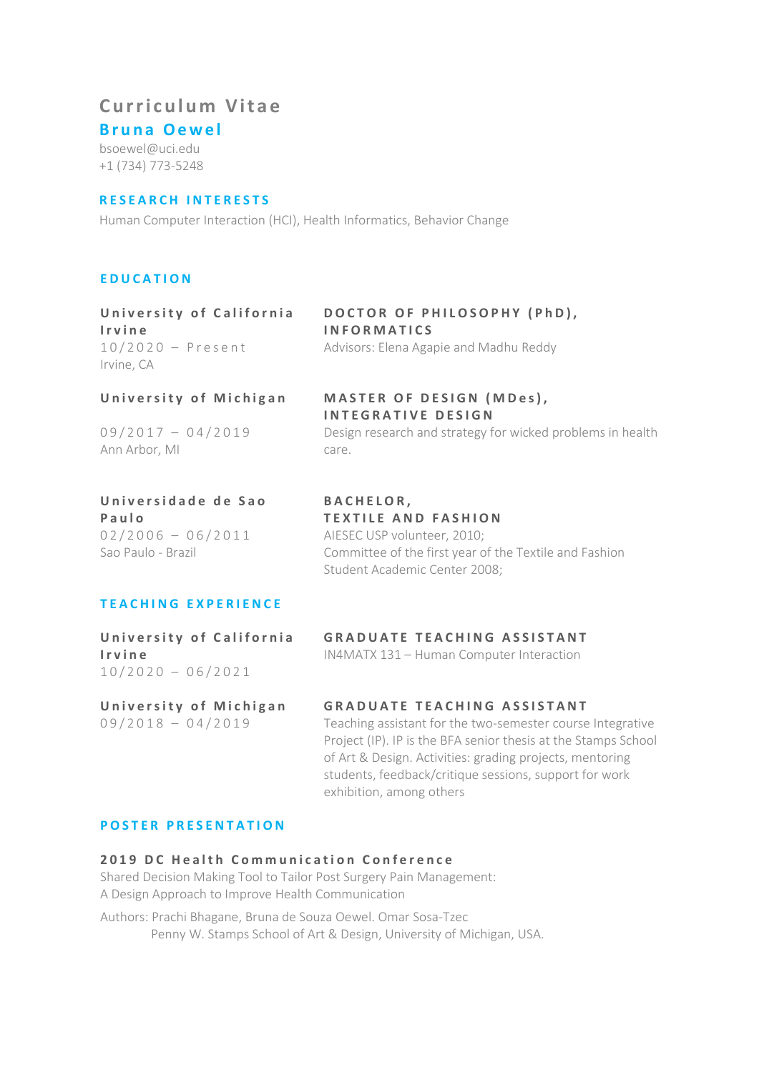# **Curriculum Vitae**

**Bruna Oewel**

bsoewel@uci.edu +1 (734) 773-5248

# **RESEARCH INTERESTS**

Human Computer Interaction (HCI), Health Informatics, Behavior Change

# **EDUCATION**

# **[Universi](http://www5.usp.br/)ty of California Irvine** Irvine, CA

# **DOCTOR OF PHILOSOPHY (PhD), INFORMATICS** 1 0 /20 2 0 – Present Advisors: Elena Agapie and Madhu Reddy

**INTEGRATIVE DESIGN**

# [Universi](http://www5.usp.br/)ty of Michigan MASTER OF DESIGN (MDes),

0 9 / 2 0 1 7 - 0 4 / 2 0 1 9 Design research and strategy for wicked problems in health Ann Arbor, MI care.

# **[Universidade de Sao](http://www5.usp.br/)  [Paulo](http://www5.usp.br/)**

Sao Paulo - Brazil

# **BACHELOR, TEXTILE AND FASHION** 02/2006 - 06/2011 AIESEC USP volunteer, 2010; Committee of the first year of the Textile and Fashion Student Academic Center 2008;

# **TEACHING EXPERIENCE**

 $10/2020 - 06/2021$ 

# **University of California GRADUATE TEACHING ASSISTANT Irvine** IN4MATX 131 – Human Computer Interaction

# **University of Michigan GRADUATE TEACHING ASSISTANT**

0 9 / 2 0 1 8 – 0 4 / 2 0 1 9 Teaching assistant for the two-semester course Integrative Project (IP). IP is the BFA senior thesis at the Stamps School of Art & Design. Activities: grading projects, mentoring students, feedback/critique sessions, support for work exhibition, among others

# **POSTER PRESENTATION**

# **2019 DC Health Communication Conference**

Shared Decision Making Tool to Tailor Post Surgery Pain Management: A Design Approach to Improve Health Communication

Authors: Prachi Bhagane, Bruna de Souza Oewel. Omar Sosa-Tzec Penny W. Stamps School of Art & Design, University of Michigan, USA.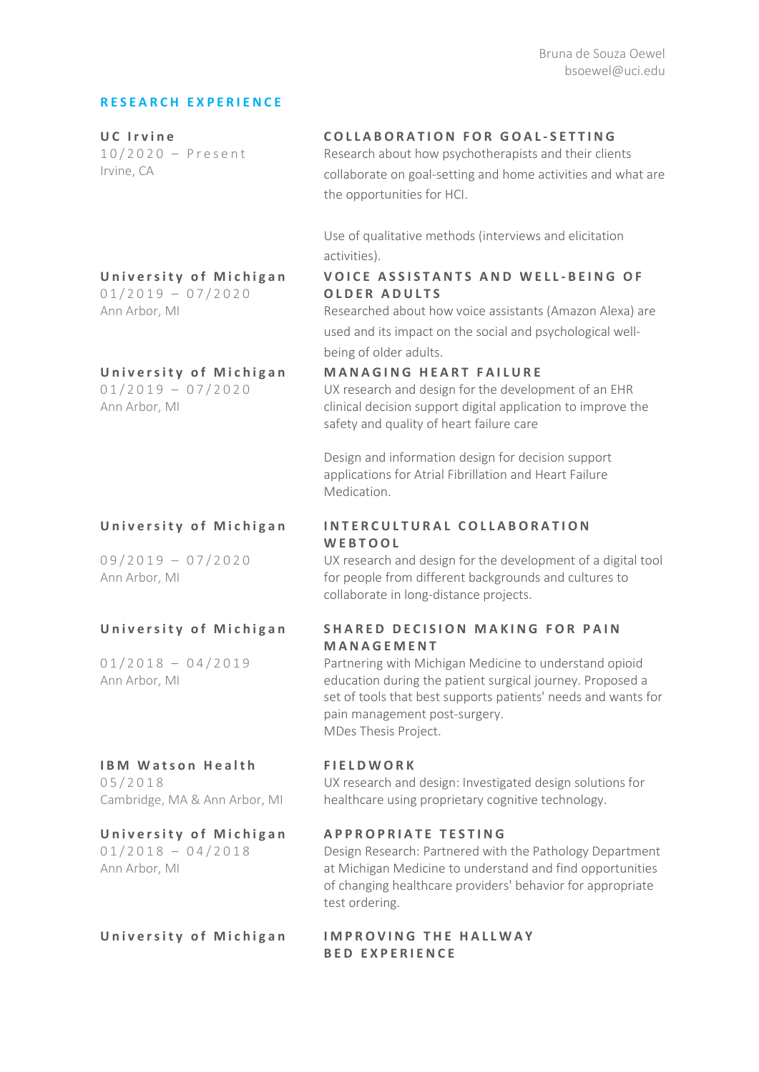# **RESEARCH EXPERIENCE**

| UC Irvine<br>$10/2020$ - Present<br>Irvine, CA                       | COLLABORATION FOR GOAL-SETTING<br>Research about how psychotherapists and their clients<br>collaborate on goal-setting and home activities and what are<br>the opportunities for HCI.                                                         |
|----------------------------------------------------------------------|-----------------------------------------------------------------------------------------------------------------------------------------------------------------------------------------------------------------------------------------------|
|                                                                      | Use of qualitative methods (interviews and elicitation<br>activities).                                                                                                                                                                        |
| University of Michigan<br>$01/2019 - 07/2020$<br>Ann Arbor, MI       | <b>VOICE ASSISTANTS AND WELL-BEING OF</b><br><b>OLDER ADULTS</b><br>Researched about how voice assistants (Amazon Alexa) are<br>used and its impact on the social and psychological well-<br>being of older adults.                           |
| University of Michigan<br>$01/2019 - 07/2020$<br>Ann Arbor, MI       | MANAGING HEART FAILURE<br>UX research and design for the development of an EHR<br>clinical decision support digital application to improve the<br>safety and quality of heart failure care                                                    |
|                                                                      | Design and information design for decision support<br>applications for Atrial Fibrillation and Heart Failure<br>Medication.                                                                                                                   |
| University of Michigan                                               | INTERCULTURAL COLLABORATION<br>WEBTOOL                                                                                                                                                                                                        |
| $09/2019 - 07/2020$<br>Ann Arbor, MI                                 | UX research and design for the development of a digital tool<br>for people from different backgrounds and cultures to<br>collaborate in long-distance projects.                                                                               |
| University of Michigan                                               | <b>SHARED DECISION MAKING FOR PAIN</b><br>MANAGEMENT                                                                                                                                                                                          |
| $01/2018 - 04/2019$<br>Ann Arbor, MI                                 | Partnering with Michigan Medicine to understand opioid<br>education during the patient surgical journey. Proposed a<br>set of tools that best supports patients' needs and wants for<br>pain management post-surgery.<br>MDes Thesis Project. |
| <b>IBM Watson Health</b><br>05/2018<br>Cambridge, MA & Ann Arbor, MI | <b>FIELDWORK</b><br>UX research and design: Investigated design solutions for<br>healthcare using proprietary cognitive technology.                                                                                                           |
| University of Michigan<br>$01/2018 - 04/2018$<br>Ann Arbor, MI       | <b>APPROPRIATE TESTING</b><br>Design Research: Partnered with the Pathology Department<br>at Michigan Medicine to understand and find opportunities<br>of changing healthcare providers' behavior for appropriate<br>test ordering.           |
| University of Michigan                                               | <b>IMPROVING THE HALLWAY</b><br><b>BED EXPERIENCE</b>                                                                                                                                                                                         |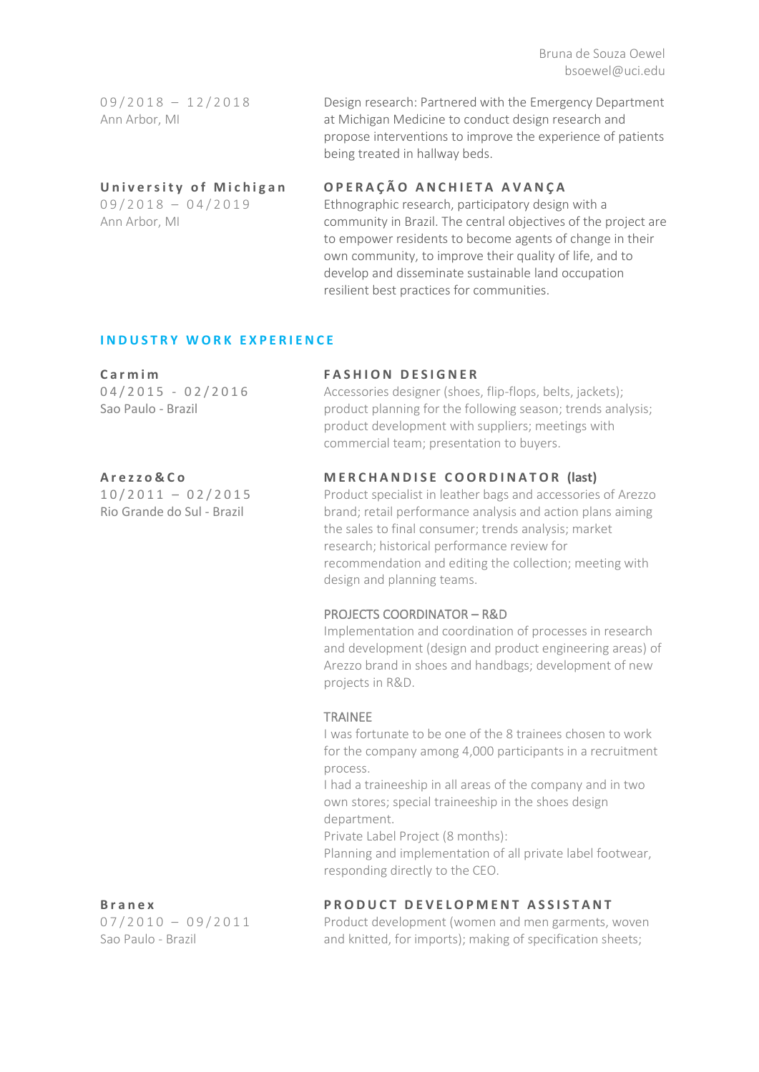Bruna de Souza Oewel bsoewel@uci.edu

| $09/2018 - 12/2018$ | Design research: Partnered with the Emergency Department    |
|---------------------|-------------------------------------------------------------|
| Ann Arbor, MI       | at Michigan Medicine to conduct design research and         |
|                     | propose interventions to improve the experience of patients |

being treated in hallway beds.

Ann Arbor, MI

# **University of Michigan OPERAÇÃO ANCHIETA AVANÇA**

0 9 / 2 0 1 8 - 0 4 / 2 0 1 9 Ethnographic research, participatory design with a community in Brazil. The central objectives of the project are to empower residents to become agents of change in their own community, to improve their quality of life, and to develop and disseminate sustainable land occupation resilient best practices for communities.

# **INDUSTRY WORK EXPERIENCE**

Sao Paulo - Brazil

Rio Grande do Sul - Brazil

### **[Carmim](http://www.carmim.com.br/) FASHION DESIGNER**

04/2015 - 02/2016 Accessories designer (shoes, flip-flops, belts, jackets); product planning for the following season; trends analysis; product development with suppliers; meetings with commercial team; presentation to buyers.

### **[Arezzo&Co](http://arezzoco.com.br/) MERCHANDISE COORDINATOR (last)**

1 0 /201 1 – 02/2015 Product specialist in leather bags and accessories of Arezzo brand; retail performance analysis and action plans aiming the sales to final consumer; trends analysis; market research; historical performance review for recommendation and editing the collection; meeting with design and planning teams.

### PROJECTS COORDINATOR – R&D

Implementation and coordination of processes in research and development (design and product engineering areas) of Arezzo brand in shoes and handbags; development of new projects in R&D.

### TRAINEE

I was fortunate to be one of the 8 trainees chosen to work for the company among 4,000 participants in a recruitment process.

I had a traineeship in all areas of the company and in two own stores; special traineeship in the shoes design department.

Private Label Project (8 months):

Planning and implementation of all private label footwear, responding directly to the CEO.

# **Branex PRODUCT DEVELOPMENT ASSISTANT**

07/2010 – 09/2011 Product development (women and men garments, woven Sao Paulo - Brazil **and knitted, for imports)**; making of specification sheets;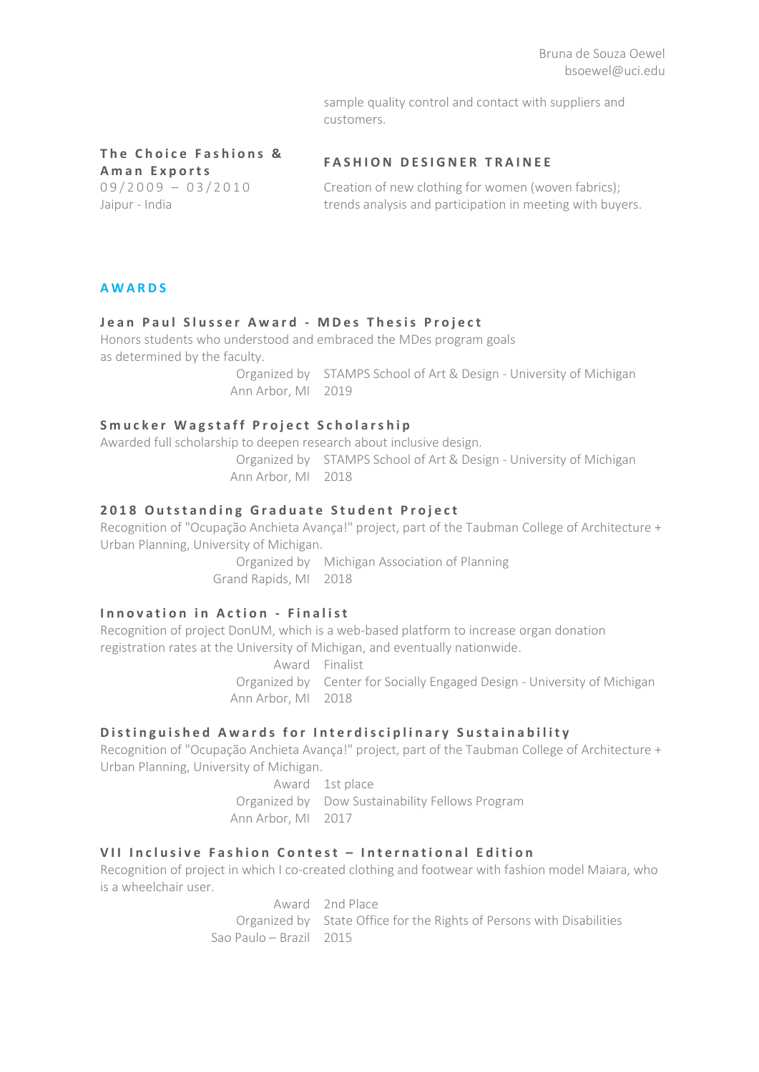sample quality control and contact with suppliers and customers.

# **The Choice Fashions & Aman Exports FASHION DESIGNER TRAINEE**

0 9 / 2 0 0 9  $-$  0 3 / 2 0 1 0 Creation of new clothing for women (woven fabrics); Jaipur - India trends analysis and participation in meeting with buyers.

# **AWARDS**

# **Jean Paul Slusser Award - MDes Thesis Project**

Honors students who understood and embraced the MDes program goals as determined by the faculty.

> Organized by STAMPS School of Art & Design - University of Michigan Ann Arbor, MI 2019

# **Smucker Wagstaff Project Scholarship**

Awarded full scholarship to deepen research about inclusive design. Organized by STAMPS School of Art & Design - University of Michigan Ann Arbor, MI 2018

# **2018 Outstanding Graduate Student Project**

Recognition of "Ocupação Anchieta Avança!" project, part of the Taubman College of Architecture + Urban Planning, University of Michigan.

> Organized by Michigan Association of Planning Grand Rapids, MI 2018

# **Innovation in Action - Finalist**

Recognition of project DonUM, which is a web-based platform to increase organ donation registration rates at the University of Michigan, and eventually nationwide.

Award Finalist

Organized by Center for Socially Engaged Design - University of Michigan Ann Arbor, MI 2018

# **Distinguished Awards for Interdisciplinary Sustainability**

Recognition of "Ocupação Anchieta Avança!" project, part of the Taubman College of Architecture + Urban Planning, University of Michigan.

> Award 1st place Organized by Dow Sustainability Fellows Program Ann Arbor, MI 2017

# **[VII Inclusive Fashion Contest –](http://modainclusiva.sedpcd.sp.gov.br/) International Edition**

Recognition of project in which I co-created clothing and footwear with fashion model Maiara, who is a wheelchair user.

> Award 2nd Place Organized by State Office for the Rights of Persons with Disabilities Sao Paulo – Brazil 2015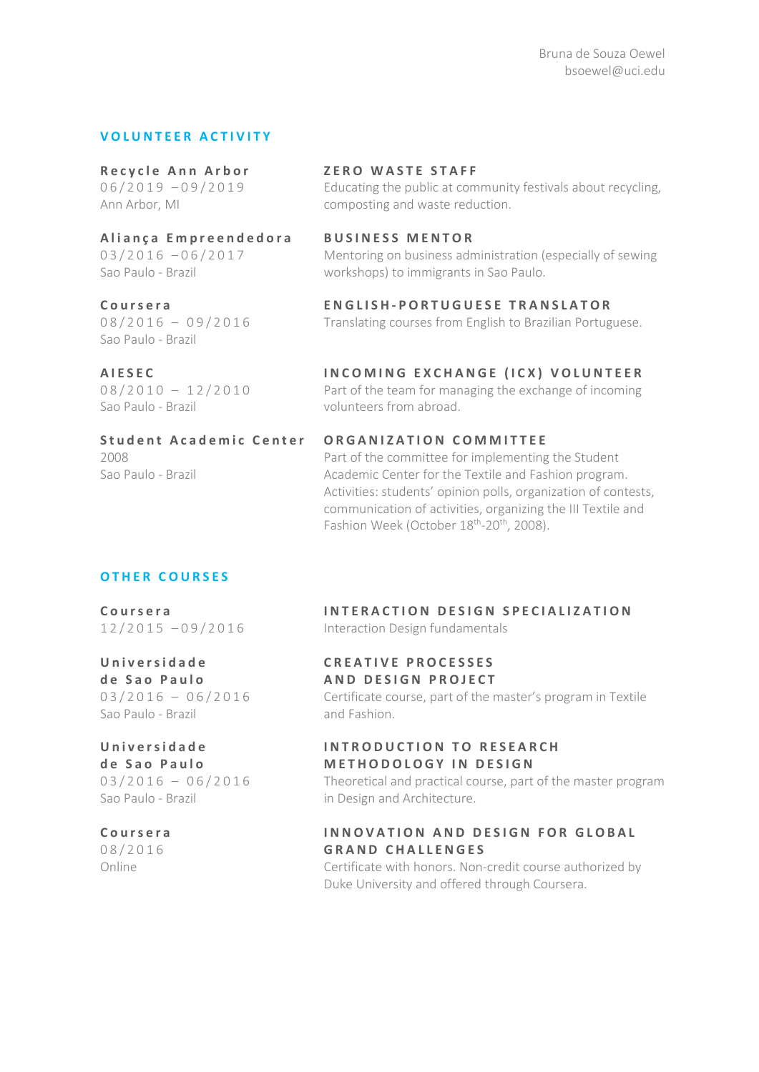# **VOLUNTEER ACTIVITY**

**[Aliança Empreendedora](http://aliancaempreendedora.org.br/en/) B USINESS MENTOR**

# Sao Paulo - Brazil

Sao Paulo - Brazil volunteers from abroad.

# **[Recycle](http://aliancaempreendedora.org.br/en/) Ann Arbor ZERO WASTE STAFF**

0 6 / 2 0 1 9 - 0 9 / 2 0 1 9 Educating the public at community festivals about recycling, Ann Arbor, MI composting and waste reduction.

03/2016 – 06/2017 Mentoring on business administration (especially of sewing Sao Paulo - Brazil workshops) to immigrants in Sao Paulo.

**[Coursera](https://www.coursera.org/) ENGLISH - PORTUGUESE TRANSLATOR** 08/2016 – 09/2016 Translating courses from English to Brazilian Portuguese.

**[AIESEC](http://aiesec.org/) INCOMING EXCHANGE (ICX) VOLUNTEER** 08/2010 – 12/2010 Part of the team for managing the exchange of incoming

Sao Paulo - Brazil

# **S tudent Academic Center ORGANIZATION COMMITTEE**

2008 Part of the committee for implementing the Student Academic Center for the Textile and Fashion program. Activities: students' opinion polls, organization of contests, communication of activities, organizing the III Textile and Fashion Week (October 18<sup>th</sup>-20<sup>th</sup>, 2008).

# **OTHER COURSES**

**[Universidade](http://www5.usp.br/) [de Sao Paulo](http://www5.usp.br/)** Sao Paulo - Brazil and Fashion.

# **[Universidade](http://www5.usp.br/)**

**[de Sao Paulo](http://www5.usp.br/)**

# **[Coursera](https://www.coursera.org/)**

08/2016

**[Coursera](https://www.coursera.org/) INTERACTION DESIGN SPECIALIZATION** 12/2015 – 0 9/2016 Interaction Design fundamentals

### **CREATIVE PROCESSES AND DESIGN PROJECT**

03/2016 – 06/2016 Certificate course, part of the master's program in Textile

# **INTRODUCTION TO RESEARCH METHODOLOGY IN DESIGN**

03/2016 – 06/2016 Theoretical and practical course, part of the master program Sao Paulo - Brazil **in Design and Architecture.** 

# **INNOVATION AND DESIGN FOR GLOBAL GRAND CHALLENGES**

Online Certificate with honors. Non-credit course authorized by Duke University and offered through Coursera.